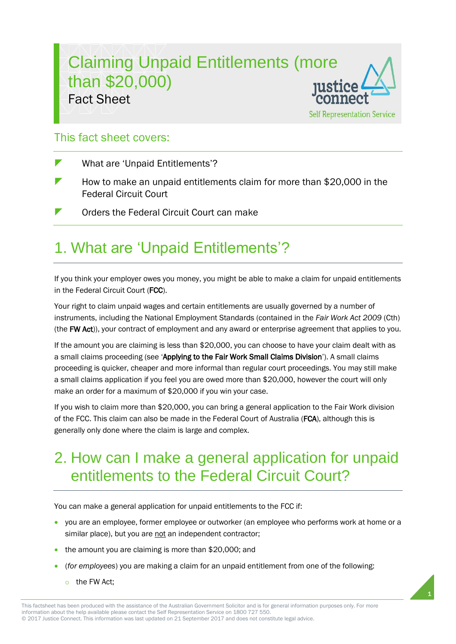### Claiming Unpaid Entitlements (more than \$20,000) Fact Sheet **Self Representation Service**

### This fact sheet covers:

- What are 'Unpaid Entitlements'?
- $\blacktriangleright$  How to make an unpaid entitlements claim for more than \$20,000 in the Federal Circuit Court
- **T** Orders the Federal Circuit Court can make

## 1. What are 'Unpaid Entitlements'?

If you think your employer owes you money, you might be able to make a claim for unpaid entitlements in the Federal Circuit Court (FCC).

Your right to claim unpaid wages and certain entitlements are usually governed by a number of instruments, including the National Employment Standards (contained in the *Fair Work Act 2009* (Cth) (the FW Act)), your contract of employment and any award or enterprise agreement that applies to you.

If the amount you are claiming is less than \$20,000, you can choose to have your claim dealt with as a small claims proceeding (see 'Applying to the Fair Work Small Claims Division'). A small claims proceeding is quicker, cheaper and more informal than regular court proceedings. You may still make a small claims application if you feel you are owed more than \$20,000, however the court will only make an order for a maximum of \$20,000 if you win your case.

If you wish to claim more than \$20,000, you can bring a general application to the Fair Work division of the FCC. This claim can also be made in the Federal Court of Australia (FCA), although this is generally only done where the claim is large and complex.

## 2. How can I make a general application for unpaid entitlements to the Federal Circuit Court?

You can make a general application for unpaid entitlements to the FCC if:

 you are an employee, former employee or outworker (an employee who performs work at home or a similar place), but you are not an independent contractor;

1

- the amount you are claiming is more than \$20,000; and
- (*for employees*) you are making a claim for an unpaid entitlement from one of the following:
	- $\circ$  the FW Act;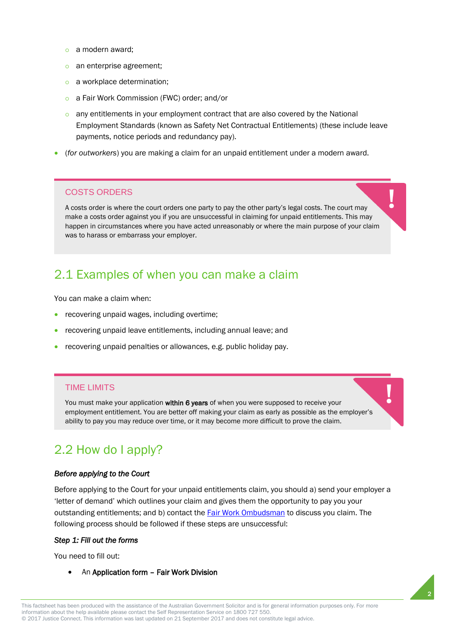- $\circ$  a modern award:
- o an enterprise agreement;
- a workplace determination;
- o a Fair Work Commission (FWC) order; and/or
- $\circ$  any entitlements in your employment contract that are also covered by the National Employment Standards (known as Safety Net Contractual Entitlements) (these include leave payments, notice periods and redundancy pay).
- (*for outworkers*) you are making a claim for an unpaid entitlement under a modern award.

#### COSTS ORDERS

A costs order is where the court orders one party to pay the other party's legal costs. The court may make a costs order against you if you are unsuccessful in claiming for unpaid entitlements. This may happen in circumstances where you have acted unreasonably or where the main purpose of your claim was to harass or embarrass your employer.

### 2.1 Examples of when you can make a claim

You can make a claim when:

- recovering unpaid wages, including overtime;
- recovering unpaid leave entitlements, including annual leave; and
- recovering unpaid penalties or allowances, e.g. public holiday pay.

#### TIME LIMITS

You must make your application within 6 years of when you were supposed to receive your employment entitlement. You are better off making your claim as early as possible as the employer's ability to pay you may reduce over time, or it may become more difficult to prove the claim.

### 2.2 How do I apply?

#### *Before applying to the Court*

Before applying to the Court for your unpaid entitlements claim, you should a) send your employer a 'letter of demand' which outlines your claim and gives them the opportunity to pay you your outstanding entitlements; and b) contact th[e Fair Work Ombudsman](https://www.fairwork.gov.au/) to discuss you claim. The following process should be followed if these steps are unsuccessful:

#### *Step 1: Fill out the forms*

You need to fill out:

An Application form – Fair Work Division

2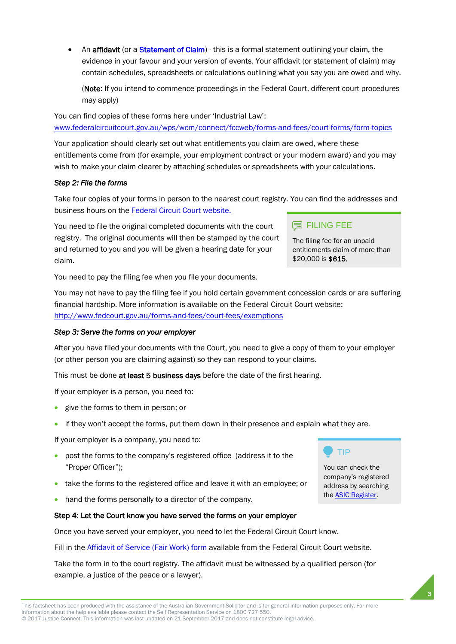An **affidavit** (or a **Statement of Claim**) - this is a formal statement outlining your claim, the evidence in your favour and your version of events. Your affidavit (or statement of claim) may contain schedules, spreadsheets or calculations outlining what you say you are owed and why.

(Note: If you intend to commence proceedings in the Federal Court, different court procedures may apply)

You can find copies of these forms here under 'Industrial Law': [www.federalcircuitcourt.gov.au/wps/wcm/connect/fccweb/forms-and-fees/court-forms/form-topics](http://www.federalcircuitcourt.gov.au/wps/wcm/connect/fccweb/forms-and-fees/court-forms/form-topics)

Your application should clearly set out what entitlements you claim are owed, where these entitlements come from (for example, your employment contract or your modern award) and you may wish to make your claim clearer by attaching schedules or spreadsheets with your calculations.

#### *Step 2: File the forms*

Take four copies of your forms in person to the nearest court registry. You can find the addresses and business hours on th[e Federal Circuit Court website.](http://www.federalcircuitcourt.gov.au/wps/wcm/connect/fccweb/contact-us/locations)

You need to file the original completed documents with the court registry. The original documents will then be stamped by the court and returned to you and you will be given a hearing date for your claim.

You need to pay the filing fee when you file your documents.

You may not have to pay the filing fee if you hold certain government concession cards or are suffering financial hardship. More information is available on the Federal Circuit Court website: <http://www.fedcourt.gov.au/forms-and-fees/court-fees/exemptions>

#### *Step 3: Serve the forms on your employer*

After you have filed your documents with the Court, you need to give a copy of them to your employer (or other person you are claiming against) so they can respond to your claims.

This must be done at least 5 business days before the date of the first hearing.

If your employer is a person, you need to:

- **e** give the forms to them in person; or
- if they won't accept the forms, put them down in their presence and explain what they are.

If your employer is a company, you need to:

- post the forms to the company's registered office (address it to the "Proper Officer");
- take the forms to the registered office and leave it with an employee; or
- hand the forms personally to a director of the company.

#### Step 4: Let the Court know you have served the forms on your employer

Once you have served your employer, you need to let the Federal Circuit Court know.

Fill in the **Affidavit of Service (Fair Work) form** available from the Federal Circuit Court website.

Take the form in to the court registry. The affidavit must be witnessed by a qualified person (for example, a justice of the peace or a lawyer).

#### **国 FILING FEE**

The filing fee for an unpaid entitlements claim of more than \$20,000 is \$615.



You can check the company's registered address by searching the [ASIC Register.](http://www.asic.gov.au/search)